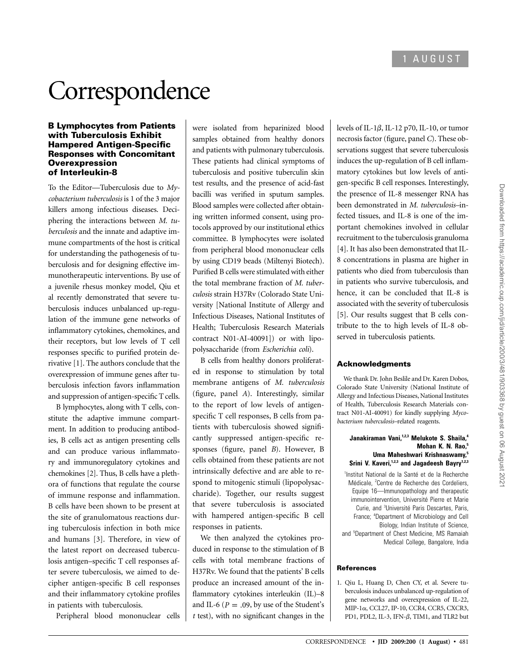# **Correspondence**

#### B Lymphocytes from Patients with Tuberculosis Exhibit Hampered Antigen-Specific Responses with Concomitant **Overexpression** of Interleukin-8

To the Editor—Tuberculosis due to *Mycobacterium tuberculosis* is 1 of the 3 major killers among infectious diseases. Deciphering the interactions between *M. tuberculosis* and the innate and adaptive immune compartments of the host is critical for understanding the pathogenesis of tuberculosis and for designing effective immunotherapeutic interventions. By use of a juvenile rhesus monkey model, Qiu et al recently demonstrated that severe tuberculosis induces unbalanced up-regulation of the immune gene networks of inflammatory cytokines, chemokines, and their receptors, but low levels of T cell responses specific to purified protein derivative [1]. The authors conclude that the overexpression of immune genes after tuberculosis infection favors inflammation and suppression of antigen-specific T cells.

B lymphocytes, along with T cells, constitute the adaptive immune compartment. In addition to producing antibodies, B cells act as antigen presenting cells and can produce various inflammatory and immunoregulatory cytokines and chemokines [2]. Thus, B cells have a plethora of functions that regulate the course of immune response and inflammation. B cells have been shown to be present at the site of granulomatous reactions during tuberculosis infection in both mice and humans [3]. Therefore, in view of the latest report on decreased tuberculosis antigen–specific T cell responses after severe tuberculosis, we aimed to decipher antigen-specific B cell responses and their inflammatory cytokine profiles in patients with tuberculosis.

Peripheral blood mononuclear cells

were isolated from heparinized blood samples obtained from healthy donors and patients with pulmonary tuberculosis. These patients had clinical symptoms of tuberculosis and positive tuberculin skin test results, and the presence of acid-fast bacilli was verified in sputum samples. Blood samples were collected after obtaining written informed consent, using protocols approved by our institutional ethics committee. B lymphocytes were isolated from peripheral blood mononuclear cells by using CD19 beads (Miltenyi Biotech). Purified B cells were stimulated with either the total membrane fraction of *M. tuberculosis* strain H37Rv (Colorado State University [National Institute of Allergy and Infectious Diseases, National Institutes of Health; Tuberculosis Research Materials contract N01-AI-40091]) or with lipopolysaccharide (from *Escherichia coli*).

B cells from healthy donors proliferated in response to stimulation by total membrane antigens of *M. tuberculosis* (figure, panel *A*). Interestingly, similar to the report of low levels of antigenspecific T cell responses, B cells from patients with tuberculosis showed significantly suppressed antigen-specific responses (figure, panel *B*). However, B cells obtained from these patients are not intrinsically defective and are able to respond to mitogenic stimuli (lipopolysaccharide). Together, our results suggest that severe tuberculosis is associated with hampered antigen-specific B cell responses in patients.

We then analyzed the cytokines produced in response to the stimulation of B cells with total membrane fractions of H37Rv. We found that the patients' B cells produce an increased amount of the inflammatory cytokines interleukin (IL)–8 and IL-6 ( $P = .09$ , by use of the Student's *t* test), with no significant changes in the levels of IL-1 $\beta$ , IL-12 p70, IL-10, or tumor necrosis factor (figure, panel *C*). These observations suggest that severe tuberculosis induces the up-regulation of B cell inflammatory cytokines but low levels of antigen-specific B cell responses. Interestingly, the presence of IL-8 messenger RNA has been demonstrated in *M. tuberculosis–*infected tissues, and IL-8 is one of the important chemokines involved in cellular recruitment to the tuberculosis granuloma [4]. It has also been demonstrated that IL-8 concentrations in plasma are higher in patients who died from tuberculosis than in patients who survive tuberculosis, and hence, it can be concluded that IL-8 is associated with the severity of tuberculosis [5]. Our results suggest that B cells contribute to the to high levels of IL-8 observed in tuberculosis patients.

## Acknowledgments

We thank Dr. John Beslile and Dr. Karen Dobos, Colorado State University (National Institute of Allergy and Infectious Diseases, National Institutes of Health, Tuberculosis Research Materials contract N01-AI-40091) for kindly supplying *Mycobacterium tuberculosis–*related reagents.

#### **Janakiraman Vani,1,2,3 Melukote S. Shaila,<sup>4</sup> Mohan K. N. Rao,<sup>5</sup> Uma Maheshwari Krishnaswamy,<sup>5</sup> Srini V. Kaveri,1,2,3 and Jagadeesh Bayry1,2,3**

<sup>1</sup>Institut National de la Santé et de la Recherche Médicale, <sup>2</sup>Centre de Recherche des Cordeliers, Equipe 16—Immunopathology and therapeutic immunointervention, Université Pierre et Marie Curie, and <sup>3</sup>Université Paris Descartes, Paris, France; <sup>4</sup> Department of Microbiology and Cell Biology, Indian Institute of Science, and <sup>5</sup>Department of Chest Medicine, MS Ramaiah Medical College, Bangalore, India

## References

1. Qiu L, Huang D, Chen CY, et al. Severe tuberculosis induces unbalanced up-regulation of gene networks and overexpression of IL-22,  $MIP-1\alpha$ , CCL27, IP-10, CCR4, CCR5, CXCR3, PD1, PDL2, IL-3, IFN- $\beta$ , TIM1, and TLR2 but